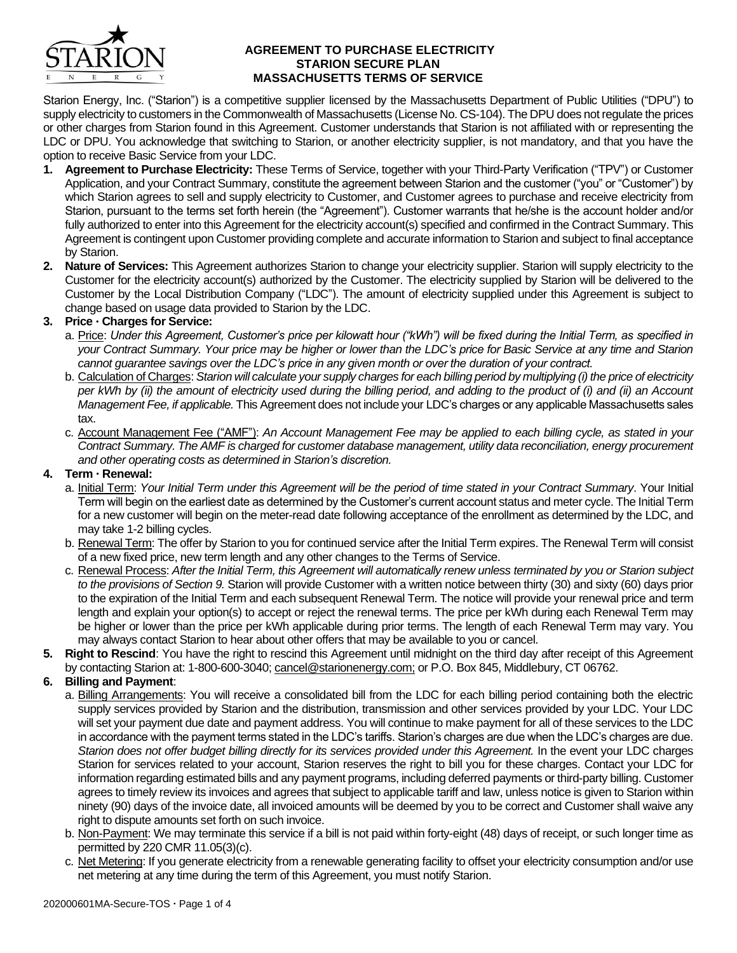

### **AGREEMENT TO PURCHASE ELECTRICITY STARION SECURE PLAN MASSACHUSETTS TERMS OF SERVICE**

Starion Energy, Inc. ("Starion") is a competitive supplier licensed by the Massachusetts Department of Public Utilities ("DPU") to supply electricity to customers in the Commonwealth of Massachusetts (License No. CS-104). The DPU does not regulate the prices or other charges from Starion found in this Agreement. Customer understands that Starion is not affiliated with or representing the LDC or DPU. You acknowledge that switching to Starion, or another electricity supplier, is not mandatory, and that you have the option to receive Basic Service from your LDC.

- **1. Agreement to Purchase Electricity:** These Terms of Service, together with your Third-Party Verification ("TPV") or Customer Application, and your Contract Summary, constitute the agreement between Starion and the customer ("you" or "Customer") by which Starion agrees to sell and supply electricity to Customer, and Customer agrees to purchase and receive electricity from Starion, pursuant to the terms set forth herein (the "Agreement"). Customer warrants that he/she is the account holder and/or fully authorized to enter into this Agreement for the electricity account(s) specified and confirmed in the Contract Summary. This Agreement is contingent upon Customer providing complete and accurate information to Starion and subject to final acceptance by Starion.
- **2. Nature of Services:** This Agreement authorizes Starion to change your electricity supplier. Starion will supply electricity to the Customer for the electricity account(s) authorized by the Customer. The electricity supplied by Starion will be delivered to the Customer by the Local Distribution Company ("LDC"). The amount of electricity supplied under this Agreement is subject to change based on usage data provided to Starion by the LDC.

# **3. Price Charges for Service:**

- a. Price: *Under this Agreement, Customer's price per kilowatt hour ("kWh") will be fixed during the Initial Term, as specified in your Contract Summary. Your price may be higher or lower than the LDC's price for Basic Service at any time and Starion cannot guarantee savings over the LDC's price in any given month or over the duration of your contract.*
- b. Calculation of Charges: *Starion will calculate your supply charges for each billing period by multiplying (i) the price of electricity per kWh by (ii) the amount of electricity used during the billing period, and adding to the product of (i) and (ii) an Account Management Fee, if applicable.* This Agreement does not include your LDC's charges or any applicable Massachusetts sales tax.
- c. Account Management Fee ("AMF"): *An Account Management Fee may be applied to each billing cycle, as stated in your Contract Summary. The AMF is charged for customer database management, utility data reconciliation, energy procurement and other operating costs as determined in Starion's discretion.*

# **4. Term Renewal:**

- a. Initial Term: *Your Initial Term under this Agreement will be the period of time stated in your Contract Summary*. Your Initial Term will begin on the earliest date as determined by the Customer's current account status and meter cycle. The Initial Term for a new customer will begin on the meter-read date following acceptance of the enrollment as determined by the LDC, and may take 1-2 billing cycles.
- b. Renewal Term: The offer by Starion to you for continued service after the Initial Term expires. The Renewal Term will consist of a new fixed price, new term length and any other changes to the Terms of Service.
- c. Renewal Process: *After the Initial Term, this Agreement will automatically renew unless terminated by you or Starion subject to the provisions of Section 9.* Starion will provide Customer with a written notice between thirty (30) and sixty (60) days prior to the expiration of the Initial Term and each subsequent Renewal Term. The notice will provide your renewal price and term length and explain your option(s) to accept or reject the renewal terms. The price per kWh during each Renewal Term may be higher or lower than the price per kWh applicable during prior terms. The length of each Renewal Term may vary. You may always contact Starion to hear about other offers that may be available to you or cancel.
- **5. Right to Rescind**: You have the right to rescind this Agreement until midnight on the third day after receipt of this Agreement by contacting Starion at: 1-800-600-3040; cancel@starionenergy.com; or P.O. Box 845, Middlebury, CT 06762.

# **6. Billing and Payment**:

- a. Billing Arrangements: You will receive a consolidated bill from the LDC for each billing period containing both the electric supply services provided by Starion and the distribution, transmission and other services provided by your LDC. Your LDC will set your payment due date and payment address. You will continue to make payment for all of these services to the LDC in accordance with the payment terms stated in the LDC's tariffs. Starion's charges are due when the LDC's charges are due. *Starion does not offer budget billing directly for its services provided under this Agreement.* In the event your LDC charges Starion for services related to your account, Starion reserves the right to bill you for these charges. Contact your LDC for information regarding estimated bills and any payment programs, including deferred payments or third-party billing. Customer agrees to timely review its invoices and agrees that subject to applicable tariff and law, unless notice is given to Starion within ninety (90) days of the invoice date, all invoiced amounts will be deemed by you to be correct and Customer shall waive any right to dispute amounts set forth on such invoice.
- b. Non-Payment: We may terminate this service if a bill is not paid within forty-eight (48) days of receipt, or such longer time as permitted by 220 CMR 11.05(3)(c).
- c. Net Metering: If you generate electricity from a renewable generating facility to offset your electricity consumption and/or use net metering at any time during the term of this Agreement, you must notify Starion.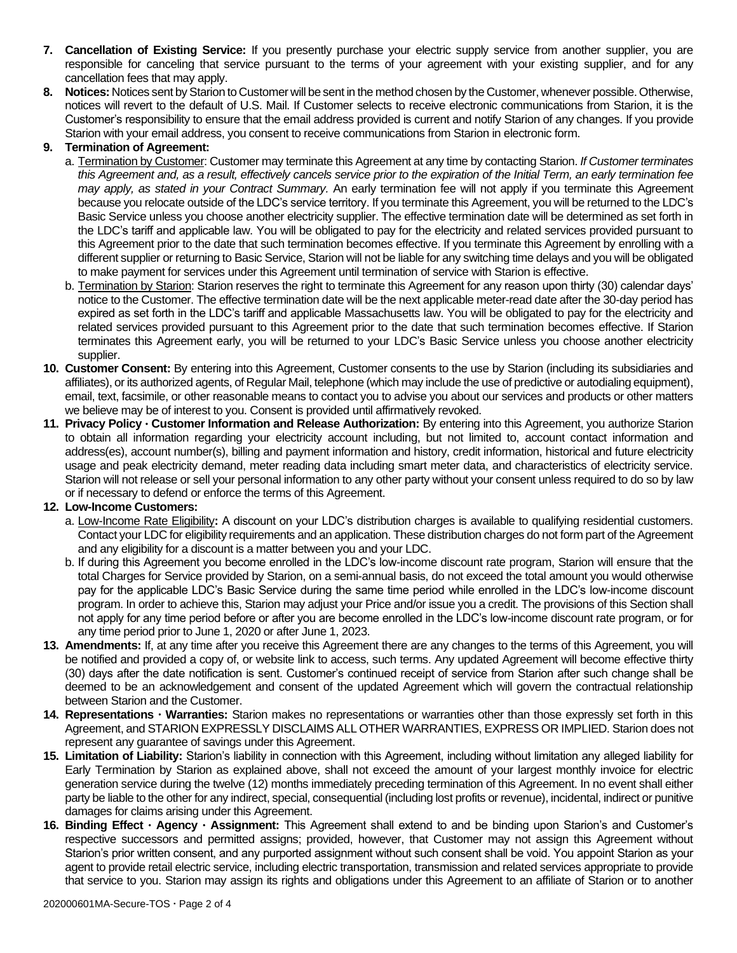- **7. Cancellation of Existing Service:** If you presently purchase your electric supply service from another supplier, you are responsible for canceling that service pursuant to the terms of your agreement with your existing supplier, and for any cancellation fees that may apply.
- **8. Notices:** Notices sent by Starion to Customer will be sent in the method chosen by the Customer, whenever possible. Otherwise, notices will revert to the default of U.S. Mail. If Customer selects to receive electronic communications from Starion, it is the Customer's responsibility to ensure that the email address provided is current and notify Starion of any changes. If you provide Starion with your email address, you consent to receive communications from Starion in electronic form.

# **9. Termination of Agreement:**

- a. Termination by Customer: Customer may terminate this Agreement at any time by contacting Starion. *If Customer terminates this Agreement and, as a result, effectively cancels service prior to the expiration of the Initial Term, an early termination fee may apply, as stated in your Contract Summary.* An early termination fee will not apply if you terminate this Agreement because you relocate outside of the LDC's service territory. If you terminate this Agreement, you will be returned to the LDC's Basic Service unless you choose another electricity supplier. The effective termination date will be determined as set forth in the LDC's tariff and applicable law. You will be obligated to pay for the electricity and related services provided pursuant to this Agreement prior to the date that such termination becomes effective. If you terminate this Agreement by enrolling with a different supplier or returning to Basic Service, Starion will not be liable for any switching time delays and you will be obligated to make payment for services under this Agreement until termination of service with Starion is effective.
- b. Termination by Starion: Starion reserves the right to terminate this Agreement for any reason upon thirty (30) calendar days' notice to the Customer. The effective termination date will be the next applicable meter-read date after the 30-day period has expired as set forth in the LDC's tariff and applicable Massachusetts law. You will be obligated to pay for the electricity and related services provided pursuant to this Agreement prior to the date that such termination becomes effective. If Starion terminates this Agreement early, you will be returned to your LDC's Basic Service unless you choose another electricity supplier.
- **10. Customer Consent:** By entering into this Agreement, Customer consents to the use by Starion (including its subsidiaries and affiliates), or its authorized agents, of Regular Mail, telephone (which may include the use of predictive or autodialing equipment), email, text, facsimile, or other reasonable means to contact you to advise you about our services and products or other matters we believe may be of interest to you. Consent is provided until affirmatively revoked.
- **11. Privacy Policy Customer Information and Release Authorization:** By entering into this Agreement, you authorize Starion to obtain all information regarding your electricity account including, but not limited to, account contact information and address(es), account number(s), billing and payment information and history, credit information, historical and future electricity usage and peak electricity demand, meter reading data including smart meter data, and characteristics of electricity service. Starion will not release or sell your personal information to any other party without your consent unless required to do so by law or if necessary to defend or enforce the terms of this Agreement.

# **12. Low-Income Customers:**

- a. Low-Income Rate Eligibility**:** A discount on your LDC's distribution charges is available to qualifying residential customers. Contact your LDC for eligibility requirements and an application. These distribution charges do not form part of the Agreement and any eligibility for a discount is a matter between you and your LDC.
- b. If during this Agreement you become enrolled in the LDC's low-income discount rate program, Starion will ensure that the total Charges for Service provided by Starion, on a semi-annual basis, do not exceed the total amount you would otherwise pay for the applicable LDC's Basic Service during the same time period while enrolled in the LDC's low-income discount program. In order to achieve this, Starion may adjust your Price and/or issue you a credit. The provisions of this Section shall not apply for any time period before or after you are become enrolled in the LDC's low-income discount rate program, or for any time period prior to June 1, 2020 or after June 1, 2023.
- **13. Amendments:** If, at any time after you receive this Agreement there are any changes to the terms of this Agreement, you will be notified and provided a copy of, or website link to access, such terms. Any updated Agreement will become effective thirty (30) days after the date notification is sent. Customer's continued receipt of service from Starion after such change shall be deemed to be an acknowledgement and consent of the updated Agreement which will govern the contractual relationship between Starion and the Customer.
- **14. Representations Warranties:** Starion makes no representations or warranties other than those expressly set forth in this Agreement, and STARION EXPRESSLY DISCLAIMS ALL OTHER WARRANTIES, EXPRESS OR IMPLIED. Starion does not represent any guarantee of savings under this Agreement.
- **15. Limitation of Liability:** Starion's liability in connection with this Agreement, including without limitation any alleged liability for Early Termination by Starion as explained above, shall not exceed the amount of your largest monthly invoice for electric generation service during the twelve (12) months immediately preceding termination of this Agreement. In no event shall either party be liable to the other for any indirect, special, consequential (including lost profits or revenue), incidental, indirect or punitive damages for claims arising under this Agreement.
- **16. Binding Effect Agency Assignment:** This Agreement shall extend to and be binding upon Starion's and Customer's respective successors and permitted assigns; provided, however, that Customer may not assign this Agreement without Starion's prior written consent, and any purported assignment without such consent shall be void. You appoint Starion as your agent to provide retail electric service, including electric transportation, transmission and related services appropriate to provide that service to you. Starion may assign its rights and obligations under this Agreement to an affiliate of Starion or to another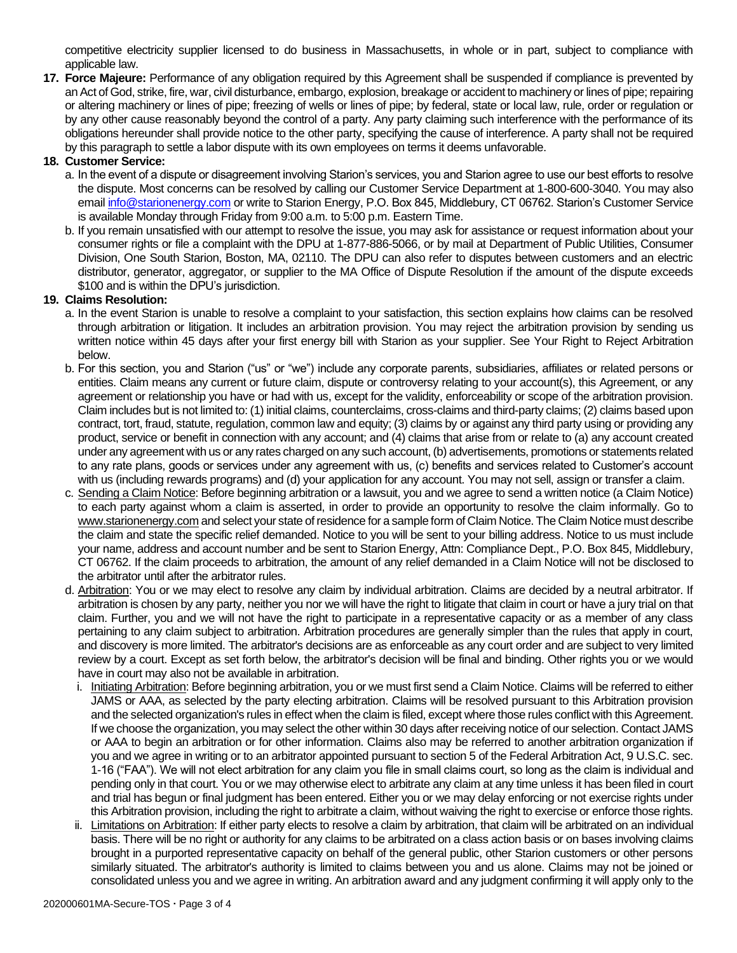competitive electricity supplier licensed to do business in Massachusetts, in whole or in part, subject to compliance with applicable law.

**17. Force Majeure:** Performance of any obligation required by this Agreement shall be suspended if compliance is prevented by an Act of God, strike, fire, war, civil disturbance, embargo, explosion, breakage or accident to machinery or lines of pipe; repairing or altering machinery or lines of pipe; freezing of wells or lines of pipe; by federal, state or local law, rule, order or regulation or by any other cause reasonably beyond the control of a party. Any party claiming such interference with the performance of its obligations hereunder shall provide notice to the other party, specifying the cause of interference. A party shall not be required by this paragraph to settle a labor dispute with its own employees on terms it deems unfavorable.

# **18. Customer Service:**

- a. In the event of a dispute or disagreement involving Starion's services, you and Starion agree to use our best efforts to resolve the dispute. Most concerns can be resolved by calling our Customer Service Department at 1-800-600-3040. You may also emai[l info@starionenergy.com](mailto:info@starionenergy.com) or write to Starion Energy, P.O. Box 845, Middlebury, CT 06762. Starion's Customer Service is available Monday through Friday from 9:00 a.m. to 5:00 p.m. Eastern Time.
- b. If you remain unsatisfied with our attempt to resolve the issue, you may ask for assistance or request information about your consumer rights or file a complaint with the DPU at 1-877-886-5066, or by mail at Department of Public Utilities, Consumer Division, One South Starion, Boston, MA, 02110. The DPU can also refer to disputes between customers and an electric distributor, generator, aggregator, or supplier to the MA Office of Dispute Resolution if the amount of the dispute exceeds \$100 and is within the DPU's jurisdiction.

# **19. Claims Resolution:**

- a. In the event Starion is unable to resolve a complaint to your satisfaction, this section explains how claims can be resolved through arbitration or litigation. It includes an arbitration provision. You may reject the arbitration provision by sending us written notice within 45 days after your first energy bill with Starion as your supplier. See Your Right to Reject Arbitration below.
- b. For this section, you and Starion ("us" or "we") include any corporate parents, subsidiaries, affiliates or related persons or entities. Claim means any current or future claim, dispute or controversy relating to your account(s), this Agreement, or any agreement or relationship you have or had with us, except for the validity, enforceability or scope of the arbitration provision. Claim includes but is not limited to: (1) initial claims, counterclaims, cross-claims and third-party claims; (2) claims based upon contract, tort, fraud, statute, regulation, common law and equity; (3) claims by or against any third party using or providing any product, service or benefit in connection with any account; and (4) claims that arise from or relate to (a) any account created under any agreement with us or any rates charged on any such account, (b) advertisements, promotions or statements related to any rate plans, goods or services under any agreement with us, (c) benefits and services related to Customer's account with us (including rewards programs) and (d) your application for any account. You may not sell, assign or transfer a claim.
- c. Sending a Claim Notice: Before beginning arbitration or a lawsuit, you and we agree to send a written notice (a Claim Notice) to each party against whom a claim is asserted, in order to provide an opportunity to resolve the claim informally. Go to www.starionenergy.com and select your state of residence for a sample form of Claim Notice. The Claim Notice must describe the claim and state the specific relief demanded. Notice to you will be sent to your billing address. Notice to us must include your name, address and account number and be sent to Starion Energy, Attn: Compliance Dept., P.O. Box 845, Middlebury, CT 06762. If the claim proceeds to arbitration, the amount of any relief demanded in a Claim Notice will not be disclosed to the arbitrator until after the arbitrator rules.
- d. Arbitration: You or we may elect to resolve any claim by individual arbitration. Claims are decided by a neutral arbitrator. If arbitration is chosen by any party, neither you nor we will have the right to litigate that claim in court or have a jury trial on that claim. Further, you and we will not have the right to participate in a representative capacity or as a member of any class pertaining to any claim subject to arbitration. Arbitration procedures are generally simpler than the rules that apply in court, and discovery is more limited. The arbitrator's decisions are as enforceable as any court order and are subject to very limited review by a court. Except as set forth below, the arbitrator's decision will be final and binding. Other rights you or we would have in court may also not be available in arbitration.
	- i. Initiating Arbitration: Before beginning arbitration, you or we must first send a Claim Notice. Claims will be referred to either JAMS or AAA, as selected by the party electing arbitration. Claims will be resolved pursuant to this Arbitration provision and the selected organization's rules in effect when the claim is filed, except where those rules conflict with this Agreement. If we choose the organization, you may select the other within 30 days after receiving notice of our selection. Contact JAMS or AAA to begin an arbitration or for other information. Claims also may be referred to another arbitration organization if you and we agree in writing or to an arbitrator appointed pursuant to section 5 of the Federal Arbitration Act, 9 U.S.C. sec. 1-16 ("FAA"). We will not elect arbitration for any claim you file in small claims court, so long as the claim is individual and pending only in that court. You or we may otherwise elect to arbitrate any claim at any time unless it has been filed in court and trial has begun or final judgment has been entered. Either you or we may delay enforcing or not exercise rights under this Arbitration provision, including the right to arbitrate a claim, without waiving the right to exercise or enforce those rights.
	- ii. Limitations on Arbitration: If either party elects to resolve a claim by arbitration, that claim will be arbitrated on an individual basis. There will be no right or authority for any claims to be arbitrated on a class action basis or on bases involving claims brought in a purported representative capacity on behalf of the general public, other Starion customers or other persons similarly situated. The arbitrator's authority is limited to claims between you and us alone. Claims may not be joined or consolidated unless you and we agree in writing. An arbitration award and any judgment confirming it will apply only to the